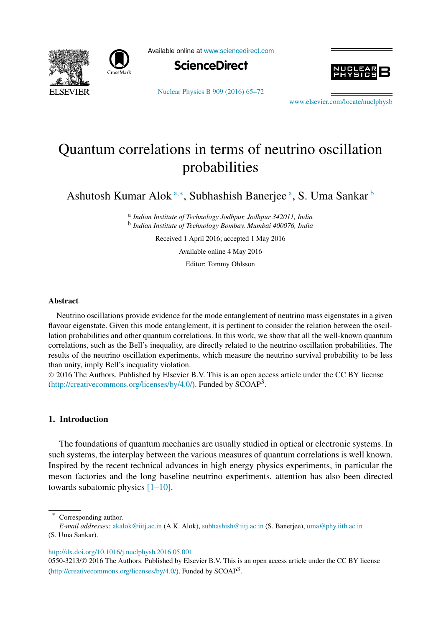



Available online at www.sciencedirect.com





Nuclear Physics B 909 (2016) 65–72

www.elsevier.com/locate/nuclphysh

# Quantum correlations in terms of neutrino oscillation probabilities

Ashutosh Kumar Alok a,\*, Subhashish Banerjee <sup>a</sup>, S. Uma Sankar <sup>b</sup>

a *Indian Institute of Technology Jodhpur, Jodhpur 342011, India* b *Indian Institute of Technology Bombay, Mumbai 400076, India*

Received 1 April 2016; accepted 1 May 2016

Available online 4 May 2016

Editor: Tommy Ohlsson

# **Abstract**

Neutrino oscillations provide evidence for the mode entanglement of neutrino mass eigenstates in a given flavour eigenstate. Given this mode entanglement, it is pertinent to consider the relation between the oscillation probabilities and other quantum correlations. In this work, we show that all the well-known quantum correlations, such as the Bell's inequality, are directly related to the neutrino oscillation probabilities. The results of the neutrino oscillation experiments, which measure the neutrino survival probability to be less than unity, imply Bell's inequality violation.

 2016 The Authors. Published by Elsevier B.V. This is an open access article under the CC BY license (http://creativecommons.org/licenses/by/4.0/). Funded by  $SCOAP<sup>3</sup>$ .

# **1. Introduction**

The foundations of quantum mechanics are usually studied in optical or electronic systems. In such systems, the interplay between the various measures of quantum correlations is well known. Inspired by the recent technical advances in high energy physics experiments, in particular the meson factories and the long baseline neutrino experiments, attention has also been directed towards subatomic physics [1–10].

http://dx.doi.org/10.1016/j.nuclphysb.2016.05.001

0550-3213/© 2016 The Authors. Published by Elsevier B.V. This is an open access article under the CC BY license (http://creativecommons.org/licenses/by/4.0/). Funded by  $SCOAP<sup>3</sup>$ .

Corresponding author.

*E-mail addresses:* akalok@iitj.ac.in (A.K. Alok), subhashish@iitj.ac.in (S. Banerjee), uma@phy.iitb.ac.in (S. Uma Sankar).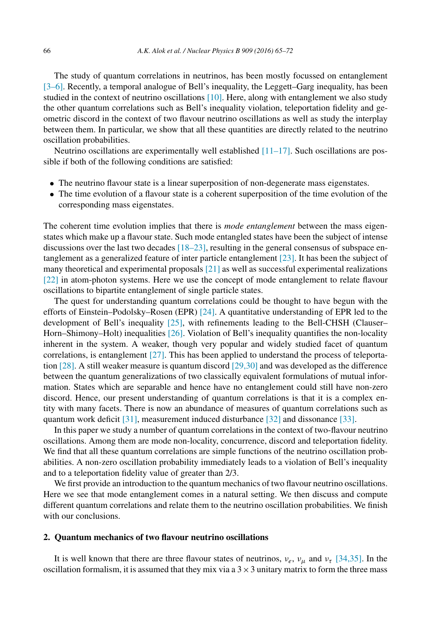The study of quantum correlations in neutrinos, has been mostly focussed on entanglement [3–6]. Recently, a temporal analogue of Bell's inequality, the Leggett–Garg inequality, has been studied in the context of neutrino oscillations [10]. Here, along with entanglement we also study the other quantum correlations such as Bell's inequality violation, teleportation fidelity and geometric discord in the context of two flavour neutrino oscillations as well as study the interplay between them. In particular, we show that all these quantities are directly related to the neutrino oscillation probabilities.

Neutrino oscillations are experimentally well established  $[11-17]$ . Such oscillations are possible if both of the following conditions are satisfied:

- The neutrino flavour state is a linear superposition of non-degenerate mass eigenstates.
- The time evolution of a flavour state is a coherent superposition of the time evolution of the corresponding mass eigenstates.

The coherent time evolution implies that there is *mode entanglement* between the mass eigenstates which make up a flavour state. Such mode entangled states have been the subject of intense discussions over the last two decades  $[18–23]$ , resulting in the general consensus of subspace entanglement as a generalized feature of inter particle entanglement [23]. It has been the subject of many theoretical and experimental proposals [21] as well as successful experimental realizations [22] in atom-photon systems. Here we use the concept of mode entanglement to relate flavour oscillations to bipartite entanglement of single particle states.

The quest for understanding quantum correlations could be thought to have begun with the efforts of Einstein–Podolsky–Rosen (EPR) [24]. A quantitative understanding of EPR led to the development of Bell's inequality [25], with refinements leading to the Bell-CHSH (Clauser– Horn–Shimony–Holt) inequalities [26]. Violation of Bell's inequality quantifies the non-locality inherent in the system. A weaker, though very popular and widely studied facet of quantum correlations, is entanglement [27]. This has been applied to understand the process of teleportation [28]. A still weaker measure is quantum discord [29,30] and was developed as the difference between the quantum generalizations of two classically equivalent formulations of mutual information. States which are separable and hence have no entanglement could still have non-zero discord. Hence, our present understanding of quantum correlations is that it is a complex entity with many facets. There is now an abundance of measures of quantum correlations such as quantum work deficit [31], measurement induced disturbance [32] and dissonance [33].

In this paper we study a number of quantum correlations in the context of two-flavour neutrino oscillations. Among them are mode non-locality, concurrence, discord and teleportation fidelity. We find that all these quantum correlations are simple functions of the neutrino oscillation probabilities. A non-zero oscillation probability immediately leads to a violation of Bell's inequality and to a teleportation fidelity value of greater than 2/3.

We first provide an introduction to the quantum mechanics of two flavour neutrino oscillations. Here we see that mode entanglement comes in a natural setting. We then discuss and compute different quantum correlations and relate them to the neutrino oscillation probabilities. We finish with our conclusions.

#### **2. Quantum mechanics of two flavour neutrino oscillations**

It is well known that there are three flavour states of neutrinos,  $v_e$ ,  $v_\mu$  and  $v_\tau$  [34,35]. In the oscillation formalism, it is assumed that they mix via a  $3 \times 3$  unitary matrix to form the three mass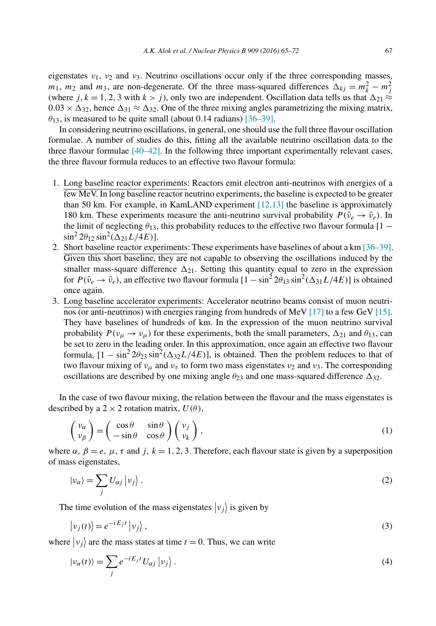eigenstates  $v_1$ ,  $v_2$  and  $v_3$ . Neutrino oscillations occur only if the three corresponding masses,  $m_1$ ,  $m_2$  and  $m_3$ , are non-degenerate. Of the three mass-squared differences  $\Delta_{kj} = m_k^2 - m_j^2$ (where j,  $k = 1, 2, 3$  with  $k > j$ ), only two are independent. Oscillation data tells us that  $\Delta_{21} \approx$  $0.03 \times \Delta_{32}$ , hence  $\Delta_{31} \approx \Delta_{32}$ . One of the three mixing angles parametrizing the mixing matrix,  $\theta_{13}$ , is measured to be quite small (about 0.14 radians) [36–39].

In considering neutrino oscillations, in general, one should use the full three flavour oscillation formulae. A number of studies do this, fitting all the available neutrino oscillation data to the three flavour formulae [40–42]. In the following three important experimentally relevant cases, the three flavour formula reduces to an effective two flavour formula:

- 1. Long baseline reactor experiments: Reactors emit electron anti-neutrinos with energies of a few MeV. In long baseline reactor neutrino experiments, the baseline is expected to be greater than 50 km. For example, in KamLAND experiment  $[12,13]$  the baseline is approximately 180 km. These experiments measure the anti-neutrino survival probability  $P(\bar{\nu}_e \rightarrow \bar{\nu}_e)$ . In the limit of neglecting  $\theta_{13}$ , this probability reduces to the effective two flavour formula [1 –  $\sin^2 2\theta_{12} \sin^2(\Delta_{21}L/4E)$ ].
- 2. Short baseline reactor experiments: These experiments have baselines of about a km [36–39]. Given this short baseline, they are not capable to observing the oscillations induced by the smaller mass-square difference  $\Delta_{21}$ . Setting this quantity equal to zero in the expression for  $P(\bar{\nu}_e \to \bar{\nu}_e)$ , an effective two flavour formula  $[1 - \sin^2 2\theta_{13} \sin^2(\Delta_{31} L/4E)]$  is obtained once again.
- 3. Long baseline accelerator experiments: Accelerator neutrino beams consist of muon neutrinos (or anti-neutrinos) with energies ranging from hundreds of MeV [17] to a few GeV [15]. They have baselines of hundreds of km. In the expression of the muon neutrino survival probability  $P(v_\mu \to v_\mu)$  for these experiments, both the small parameters,  $\Delta_{21}$  and  $\theta_{13}$ , can be set to zero in the leading order. In this approximation, once again an effective two flavour formula,  $[1 - \sin^2 2\theta_{23} \sin^2(\Delta_{32} L/4E)]$ , is obtained. Then the problem reduces to that of two flavour mixing of  $v_{\mu}$  and  $v_{\tau}$  to form two mass eigenstates  $v_2$  and  $v_3$ . The corresponding oscillations are described by one mixing angle  $\theta_{23}$  and one mass-squared difference  $\Delta_{32}$ .

In the case of two flavour mixing, the relation between the flavour and the mass eigenstates is described by a 2  $\times$  2 rotation matrix,  $U(\theta)$ ,

$$
\begin{pmatrix} \nu_{\alpha} \\ \nu_{\beta} \end{pmatrix} = \begin{pmatrix} \cos \theta & \sin \theta \\ -\sin \theta & \cos \theta \end{pmatrix} \begin{pmatrix} \nu_j \\ \nu_k \end{pmatrix},
$$
\n(1)

where  $\alpha$ ,  $\beta = e$ ,  $\mu$ ,  $\tau$  and j,  $k = 1, 2, 3$ . Therefore, each flavour state is given by a superposition of mass eigenstates,

$$
|\nu_{\alpha}\rangle = \sum_{j} U_{\alpha j} | \nu_{j} \rangle. \tag{2}
$$

The time evolution of the mass eigenstates  $|v_j\rangle$  is given by

$$
|v_j(t)\rangle = e^{-iE_jt} |v_j\rangle, \qquad (3)
$$

where  $|v_j\rangle$  are the mass states at time  $t = 0$ . Thus, we can write

$$
|\nu_{\alpha}(t)\rangle = \sum_{j} e^{-iE_{j}t} U_{\alpha j} |v_{j}\rangle.
$$
 (4)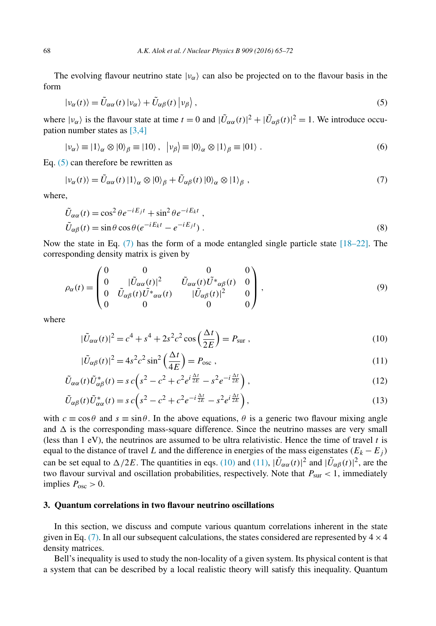The evolving flavour neutrino state  $|v_{\alpha}\rangle$  can also be projected on to the flavour basis in the form

$$
|\nu_{\alpha}(t)\rangle = \tilde{U}_{\alpha\alpha}(t) |v_{\alpha}\rangle + \tilde{U}_{\alpha\beta}(t) |v_{\beta}\rangle, \qquad (5)
$$

where  $|v_{\alpha}\rangle$  is the flavour state at time  $t = 0$  and  $|\tilde{U}_{\alpha\alpha}(t)|^2 + |\tilde{U}_{\alpha\beta}(t)|^2 = 1$ . We introduce occupation number states as [3,4]

$$
|\nu_{\alpha}\rangle \equiv |1\rangle_{\alpha} \otimes |0\rangle_{\beta} \equiv |10\rangle, \quad |\nu_{\beta}\rangle \equiv |0\rangle_{\alpha} \otimes |1\rangle_{\beta} \equiv |01\rangle. \tag{6}
$$

Eq. (5) can therefore be rewritten as

$$
|\nu_{\alpha}(t)\rangle = \tilde{U}_{\alpha\alpha}(t) \, |1\rangle_{\alpha} \otimes |0\rangle_{\beta} + \tilde{U}_{\alpha\beta}(t) \, |0\rangle_{\alpha} \otimes |1\rangle_{\beta} \;, \tag{7}
$$

where,

$$
\tilde{U}_{\alpha\alpha}(t) = \cos^2 \theta e^{-iE_j t} + \sin^2 \theta e^{-iE_k t} ,
$$
\n
$$
\tilde{U}_{\alpha\beta}(t) = \sin \theta \cos \theta (e^{-iE_k t} - e^{-iE_j t}) .
$$
\n(8)

Now the state in Eq.  $(7)$  has the form of a mode entangled single particle state  $[18–22]$ . The corresponding density matrix is given by

$$
\rho_{\alpha}(t) = \begin{pmatrix} 0 & 0 & 0 & 0 \\ 0 & |\tilde{U}_{\alpha\alpha}(t)|^2 & \tilde{U}_{\alpha\alpha}(t)\tilde{U}^*_{\alpha\beta}(t) & 0 \\ 0 & \tilde{U}_{\alpha\beta}(t)\tilde{U}^*_{\alpha\alpha}(t) & |\tilde{U}_{\alpha\beta}(t)|^2 & 0 \\ 0 & 0 & 0 & 0 \end{pmatrix},
$$
\n(9)

where

$$
|\tilde{U}_{\alpha\alpha}(t)|^2 = c^4 + s^4 + 2s^2c^2\cos\left(\frac{\Delta t}{2E}\right) = P_{\text{sur}}\,,\tag{10}
$$

$$
|\tilde{U}_{\alpha\beta}(t)|^2 = 4s^2c^2\sin^2\left(\frac{\Delta t}{4E}\right) = P_{\text{osc}}\,,\tag{11}
$$

$$
\tilde{U}_{\alpha\alpha}(t)\tilde{U}_{\alpha\beta}^*(t) = s c \left(s^2 - c^2 + c^2 e^{i\frac{\Delta t}{2E}} - s^2 e^{-i\frac{\Delta t}{2E}}\right),\tag{12}
$$

$$
\tilde{U}_{\alpha\beta}(t)\tilde{U}_{\alpha\alpha}^{*}(t) = s c \left(s^2 - c^2 + c^2 e^{-i\frac{\Delta t}{2E}} - s^2 e^{i\frac{\Delta t}{2E}}\right),\tag{13}
$$

with  $c \equiv \cos \theta$  and  $s \equiv \sin \theta$ . In the above equations,  $\theta$  is a generic two flavour mixing angle and  $\Delta$  is the corresponding mass-square difference. Since the neutrino masses are very small (less than  $1$  eV), the neutrinos are assumed to be ultra relativistic. Hence the time of travel t is equal to the distance of travel L and the difference in energies of the mass eigenstates  $(E_k - E_j)$ can be set equal to  $\Delta/2E$ . The quantities in eqs. (10) and (11),  $|\tilde{U}_{\alpha\alpha}(t)|^2$  and  $|\tilde{U}_{\alpha\beta}(t)|^2$ , are the two flavour survival and oscillation probabilities, respectively. Note that  $P_{\text{sur}} < 1$ , immediately implies  $P_{\text{osc}} > 0$ .

# **3. Quantum correlations in two flavour neutrino oscillations**

In this section, we discuss and compute various quantum correlations inherent in the state given in Eq. (7). In all our subsequent calculations, the states considered are represented by  $4 \times 4$ density matrices.

Bell's inequality is used to study the non-locality of a given system. Its physical content is that a system that can be described by a local realistic theory will satisfy this inequality. Quantum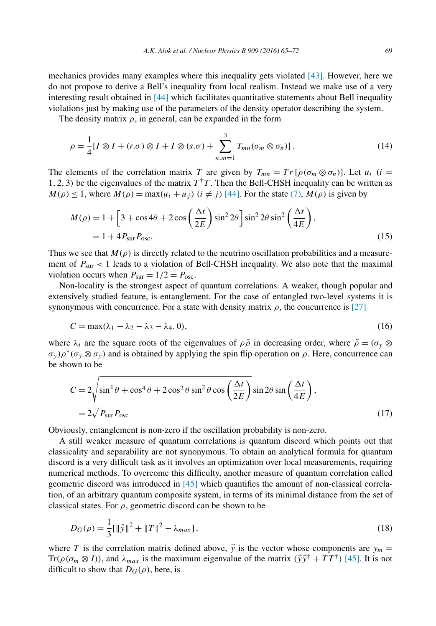The density matrix  $\rho$ , in general, can be expanded in the form

$$
\rho = \frac{1}{4} [I \otimes I + (r.\sigma) \otimes I + I \otimes (s.\sigma) + \sum_{n,m=1}^{3} T_{mn} (\sigma_m \otimes \sigma_n)]. \tag{14}
$$

The elements of the correlation matrix T are given by  $T_{mn} = Tr [\rho(\sigma_m \otimes \sigma_n)]$ . Let  $u_i$  (i = 1, 2, 3) be the eigenvalues of the matrix  $T^{\dagger}T$ . Then the Bell-CHSH inequality can be written as  $M(\rho) \le 1$ , where  $M(\rho) = \max(u_i + u_j)$   $(i \ne j)$  [44]. For the state (7),  $M(\rho)$  is given by

$$
M(\rho) = 1 + \left[3 + \cos 4\theta + 2\cos\left(\frac{\Delta t}{2E}\right)\sin^2 2\theta\right]\sin^2 2\theta\sin^2\left(\frac{\Delta t}{4E}\right),
$$
  
= 1 + 4P<sub>sur</sub>P<sub>osc</sub>. (15)

Thus we see that  $M(\rho)$  is directly related to the neutrino oscillation probabilities and a measurement of  $P_{\text{sur}} < 1$  leads to a violation of Bell-CHSH inequality. We also note that the maximal violation occurs when  $P_{\text{sur}} = 1/2 = P_{\text{osc}}$ .

Non-locality is the strongest aspect of quantum correlations. A weaker, though popular and extensively studied feature, is entanglement. For the case of entangled two-level systems it is synonymous with concurrence. For a state with density matrix  $\rho$ , the concurrence is [27]

$$
C = \max(\lambda_1 - \lambda_2 - \lambda_3 - \lambda_4, 0),\tag{16}
$$

where  $\lambda_i$  are the square roots of the eigenvalues of  $\rho \tilde{\rho}$  in decreasing order, where  $\tilde{\rho} = (\sigma_y \otimes$  $(\sigma_y) \rho^*(\sigma_y \otimes \sigma_y)$  and is obtained by applying the spin flip operation on  $\rho$ . Here, concurrence can be shown to be

$$
C = 2\sqrt{\sin^4 \theta + \cos^4 \theta + 2\cos^2 \theta \sin^2 \theta \cos\left(\frac{\Delta t}{2E}\right) \sin 2\theta \sin\left(\frac{\Delta t}{4E}\right)},
$$
  
= 2\sqrt{P\_{sur} P\_{osc}} (17)

Obviously, entanglement is non-zero if the oscillation probability is non-zero.

A still weaker measure of quantum correlations is quantum discord which points out that classicality and separability are not synonymous. To obtain an analytical formula for quantum discord is a very difficult task as it involves an optimization over local measurements, requiring numerical methods. To overcome this difficulty, another measure of quantum correlation called geometric discord was introduced in [45] which quantifies the amount of non-classical correlation, of an arbitrary quantum composite system, in terms of its minimal distance from the set of classical states. For  $\rho$ , geometric discord can be shown to be

$$
D_G(\rho) = \frac{1}{3} [\|\vec{y}\|^2 + \|T\|^2 - \lambda_{max}],
$$
\n(18)

where T is the correlation matrix defined above,  $\vec{y}$  is the vector whose components are  $y_m =$ Tr( $\rho(\sigma_m \otimes I)$ ), and  $\lambda_{max}$  is the maximum eigenvalue of the matrix  $(\vec{y}\vec{y}^{\dagger} + TT^{\dagger})$  [45]. It is not difficult to show that  $D_G(\rho)$ , here, is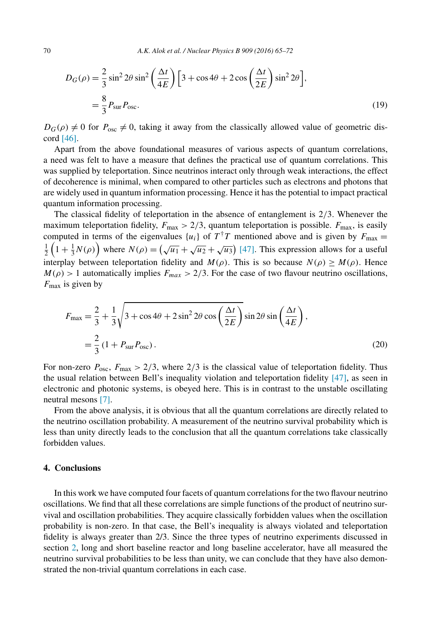$$
D_G(\rho) = \frac{2}{3}\sin^2 2\theta \sin^2 \left(\frac{\Delta t}{4E}\right) \left[3 + \cos 4\theta + 2\cos\left(\frac{\Delta t}{2E}\right) \sin^2 2\theta\right],
$$
  
=  $\frac{8}{3} P_{\text{sur}} P_{\text{osc}}.$  (19)

 $D_G(\rho) \neq 0$  for  $P_{\text{osc}} \neq 0$ , taking it away from the classically allowed value of geometric discord [46].

Apart from the above foundational measures of various aspects of quantum correlations, a need was felt to have a measure that defines the practical use of quantum correlations. This was supplied by teleportation. Since neutrinos interact only through weak interactions, the effect of decoherence is minimal, when compared to other particles such as electrons and photons that are widely used in quantum information processing. Hence it has the potential to impact practical quantum information processing.

The classical fidelity of teleportation in the absence of entanglement is 2/3. Whenever the maximum teleportation fidelity,  $F_{\text{max}} > 2/3$ , quantum teleportation is possible.  $F_{\text{max}}$ , is easily computed in terms of the eigenvalues  $\{u_i\}$  of  $T^{\dagger}T$  mentioned above and is given by  $F_{\text{max}} =$  $\frac{1}{2}\left(1+\frac{1}{3}N(\rho)\right)$  where  $N(\rho) = \left(\sqrt{u_1} + \sqrt{u_2} + \sqrt{u_3}\right)$  [47]. This expression allows for a useful interplay between teleportation fidelity and  $M(\rho)$ . This is so because  $N(\rho) \geq M(\rho)$ . Hence  $M(\rho) > 1$  automatically implies  $F_{max} > 2/3$ . For the case of two flavour neutrino oscillations,  $F_{\text{max}}$  is given by

$$
F_{\text{max}} = \frac{2}{3} + \frac{1}{3} \sqrt{3 + \cos 4\theta + 2\sin^2 2\theta \cos \left(\frac{\Delta t}{2E}\right)} \sin 2\theta \sin \left(\frac{\Delta t}{4E}\right),
$$
  
=  $\frac{2}{3} (1 + P_{\text{sur}} P_{\text{osc}}).$  (20)

For non-zero  $P_{\text{osc}}$ ,  $F_{\text{max}} > 2/3$ , where  $2/3$  is the classical value of teleportation fidelity. Thus the usual relation between Bell's inequality violation and teleportation fidelity [47], as seen in electronic and photonic systems, is obeyed here. This is in contrast to the unstable oscillating neutral mesons [7].

From the above analysis, it is obvious that all the quantum correlations are directly related to the neutrino oscillation probability. A measurement of the neutrino survival probability which is less than unity directly leads to the conclusion that all the quantum correlations take classically forbidden values.

# **4. Conclusions**

In this work we have computed four facets of quantum correlationsfor the two flavour neutrino oscillations. We find that all these correlations are simple functions of the product of neutrino survival and oscillation probabilities. They acquire classically forbidden values when the oscillation probability is non-zero. In that case, the Bell's inequality is always violated and teleportation fidelity is always greater than 2/3. Since the three types of neutrino experiments discussed in section 2, long and short baseline reactor and long baseline accelerator, have all measured the neutrino survival probabilities to be less than unity, we can conclude that they have also demonstrated the non-trivial quantum correlations in each case.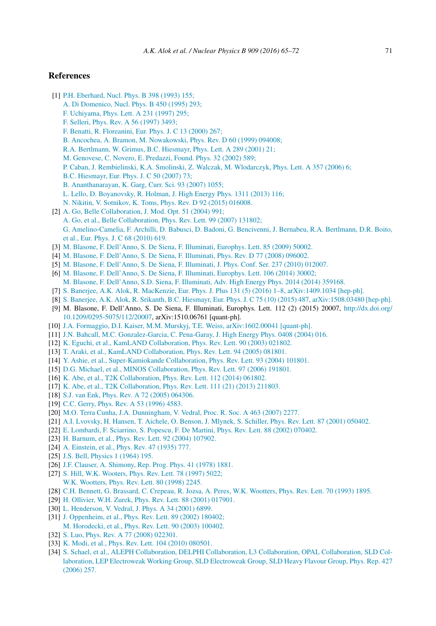# **References**

- [1] P.H. Eberhard, Nucl. Phys. B 398 (1993) 155;
	- A. Di Domenico, Nucl. Phys. B 450 (1995) 293;
	- F. Uchiyama, Phys. Lett. A 231 (1997) 295;
	- F. Selleri, Phys. Rev. A 56 (1997) 3493;
	- F. Benatti, R. Floreanini, Eur. Phys. J. C 13 (2000) 267;
	- B. Ancochea, A. Bramon, M. Nowakowski, Phys. Rev. D 60 (1999) 094008;
	- R.A. Bertlmann, W. Grimus, B.C. Hiesmayr, Phys. Lett. A 289 (2001) 21;
	- M. Genovese, C. Novero, E. Predazzi, Found. Phys. 32 (2002) 589;
	- P. Caban, J. Rembielinski, K.A. Smolinski, Z. Walczak, M. Wlodarczyk, Phys. Lett. A 357 (2006) 6;
	- B.C. Hiesmayr, Eur. Phys. J. C 50 (2007) 73;
	- B. Ananthanarayan, K. Garg, Curr. Sci. 93 (2007) 1055;
	- L. Lello, D. Boyanovsky, R. Holman, J. High Energy Phys. 1311 (2013) 116;
	- N. Nikitin, V. Sotnikov, K. Toms, Phys. Rev. D 92 (2015) 016008.
- [2] A. Go, Belle Collaboration, J. Mod. Opt. 51 (2004) 991; A. Go, et al., Belle Collaboration, Phys. Rev. Lett. 99 (2007) 131802; G. Amelino-Camelia, F. Archilli, D. Babusci, D. Badoni, G. Bencivenni, J. Bernabeu, R.A. Bertlmann, D.R. Boito, et al., Eur. Phys. J. C 68 (2010) 619.
- [3] M. Blasone, F. Dell'Anno, S. De Siena, F. Illuminati, Europhys. Lett. 85 (2009) 50002.
- [4] M. Blasone, F. Dell'Anno, S. De Siena, F. Illuminati, Phys. Rev. D 77 (2008) 096002.
- [5] M. Blasone, F. Dell'Anno, S. De Siena, F. Illuminati, J. Phys. Conf. Ser. 237 (2010) 012007.
- [6] M. Blasone, F. Dell'Anno, S. De Siena, F. Illuminati, Europhys. Lett. 106 (2014) 30002; M. Blasone, F. Dell'Anno, S.D. Siena, F. Illuminati, Adv. High Energy Phys. 2014 (2014) 359168.
- [7] S. Banerjee, A.K. Alok, R. MacKenzie, Eur. Phys. J. Plus 131 (5) (2016) 1–8, arXiv:1409.1034 [hep-ph].
- [8] S. Banerjee, A.K. Alok, R. Srikanth, B.C. Hiesmayr, Eur. Phys. J. C 75 (10) (2015) 487, arXiv:1508.03480 [hep-ph].
- [9] M. Blasone, F. Dell'Anno, S. De Siena, F. Illuminati, Europhys. Lett. 112 (2) (2015) 20007, http://dx.doi.org/ 10.1209/0295-5075/112/20007, arXiv:1510.06761 [quant-ph].
- [10] J.A. Formaggio, D.I. Kaiser, M.M. Murskyj, T.E. Weiss, arXiv:1602.00041 [quant-ph].
- [11] J.N. Bahcall, M.C. Gonzalez-Garcia, C. Pena-Garay, J. High Energy Phys. 0408 (2004) 016.
- [12] K. Eguchi, et al., KamLAND Collaboration, Phys. Rev. Lett. 90 (2003) 021802.
- [13] T. Araki, et al., KamLAND Collaboration, Phys. Rev. Lett. 94 (2005) 081801.
- [14] Y. Ashie, et al., Super-Kamiokande Collaboration, Phys. Rev. Lett. 93 (2004) 101801.
- [15] D.G. Michael, et al., MINOS Collaboration, Phys. Rev. Lett. 97 (2006) 191801.
- [16] K. Abe, et al., T2K Collaboration, Phys. Rev. Lett. 112 (2014) 061802.
- [17] K. Abe, et al., T2K Collaboration, Phys. Rev. Lett. 111 (21) (2013) 211803.
- [18] S.J. van Enk, Phys. Rev. A 72 (2005) 064306.
- [19] C.C. Gerry, Phys. Rev. A 53 (1996) 4583.
- [20] M.O. Terra Cunha, J.A. Dunningham, V. Vedral, Proc. R. Soc. A 463 (2007) 2277.
- [21] A.I. Lvovsky, H. Hansen, T. Aichele, O. Benson, J. Mlynek, S. Schiller, Phys. Rev. Lett. 87 (2001) 050402.
- [22] E. Lombardi, F. Sciarrino, S. Popescu, F. De Martini, Phys. Rev. Lett. 88 (2002) 070402.
- [23] H. Barnum, et al., Phys. Rev. Lett. 92 (2004) 107902.
- [24] A. Einstein, et al., *Phys. Rev. 47 (1935) 777.*
- [25] J.S. Bell, Physics 1 (1964) 195.
- [26] J.F. Clauser, A. Shimony, Rep. Prog. Phys. 41 (1978) 1881.
- [27] S. Hill, W.K. Wooters, Phys. Rev. Lett. 78 (1997) 5022;
- W.K. Wootters, Phys. Rev. Lett. 80 (1998) 2245.
- [28] C.H. Bennett, G. Brassard, C. Crepeau, R. Jozsa, A. Peres, W.K. Wootters, Phys. Rev. Lett. 70 (1993) 1895.
- [29] H. Ollivier, W.H. Zurek, Phys. Rev. Lett. 88 (2001) 017901.
- [30] L. Henderson, V. Vedral, J. Phys. A 34 (2001) 6899.
- [31] J. Oppenheim, et al., Phys. Rev. Lett. 89 (2002) 180402; M. Horodecki, et al., Phys. Rev. Lett. 90 (2003) 100402.
- [32] S. Luo, Phys. Rev. A 77 (2008) 022301.
- [33] K. Modi, et al., Phys. Rev. Lett. 104 (2010) 080501.
- [34] S. Schael, et al., ALEPH Collaboration, DELPHI Collaboration, L3 Collaboration, OPAL Collaboration, SLD Collaboration, LEP Electroweak Working Group, SLD Electroweak Group, SLD Heavy Flavour Group, Phys. Rep. 427 (2006) 257.